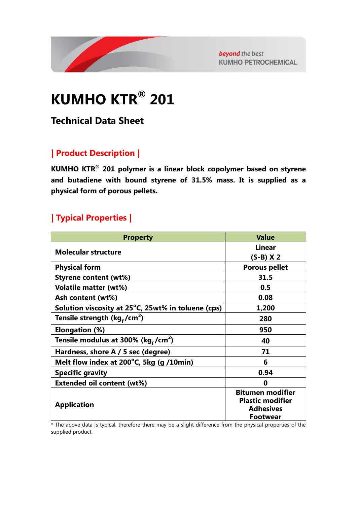

beyond the best **KUMHO PETROCHEMICAL** 

# **KUMHO KTR® 201**

# **Technical Data Sheet**

## **| Product Description |**

**KUMHO KTR® 201 polymer is a linear block copolymer based on styrene and butadiene with bound styrene of 31.5% mass. It is supplied as a physical form of porous pellets.**

## **| Typical Properties |**

| <b>Property</b>                                    | <b>Value</b>                                       |
|----------------------------------------------------|----------------------------------------------------|
| <b>Molecular structure</b>                         | <b>Linear</b>                                      |
|                                                    | $(S-B)$ X 2                                        |
| <b>Physical form</b>                               | <b>Porous pellet</b>                               |
| <b>Styrene content (wt%)</b>                       | 31.5                                               |
| <b>Volatile matter (wt%)</b>                       | 0.5                                                |
| Ash content (wt%)                                  | 0.08                                               |
| Solution viscosity at 25°C, 25wt% in toluene (cps) | 1,200                                              |
| Tensile strength ( $kg_f/cm^2$ )                   | 280                                                |
| Elongation (%)                                     | 950                                                |
| Tensile modulus at 300% (kg,/cm <sup>2</sup> )     | 40                                                 |
| Hardness, shore A / 5 sec (degree)                 | 71                                                 |
| Melt flow index at 200°C, 5kg (g /10min)           | 6                                                  |
| <b>Specific gravity</b>                            | 0.94                                               |
| <b>Extended oil content (wt%)</b>                  | 0                                                  |
| <b>Application</b>                                 | <b>Bitumen modifier</b><br><b>Plastic modifier</b> |
|                                                    | <b>Adhesives</b>                                   |
|                                                    | <b>Footwear</b>                                    |

\* The above data is typical, therefore there may be a slight difference from the physical properties of the supplied product.